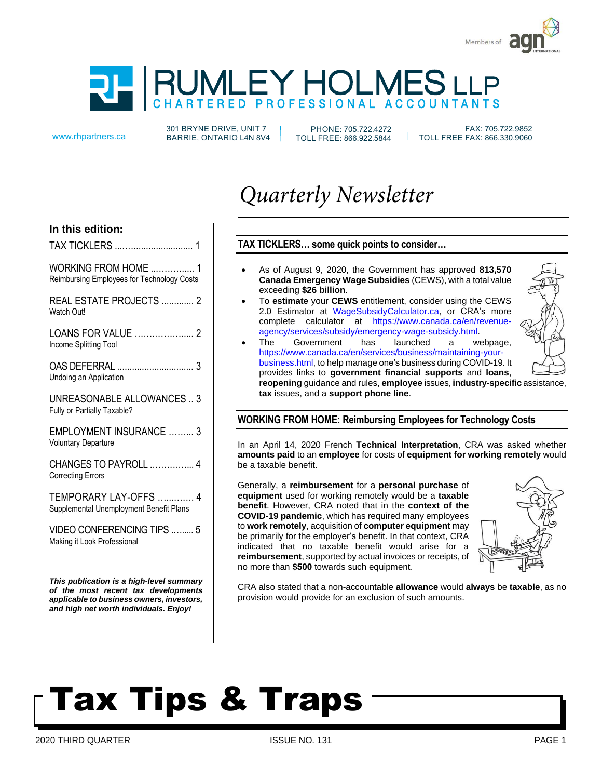

# MLEY HOLMES LLP

301 BRYNE DRIVE, UNIT 7 www.rhpartners.ca BARRIE, ONTARIO L4N 8V4

PHONE: 705.722.4272 TOLL FREE: 866.922.5844

 FAX: 705.722.9852 TOLL FREE FAX: 866.330.9060

# *Quarterly Newsletter*

# **In this edition:**

| WORKING FROM HOME  1<br>Reimbursing Employees for Technology Costs                                                           |
|------------------------------------------------------------------------------------------------------------------------------|
| REAL ESTATE PROJECTS  2<br>Watch Out!                                                                                        |
| LOANS FOR VALUE  2<br>Income Splitting Tool                                                                                  |
| Undoing an Application                                                                                                       |
| UNREASONABLE ALLOWANCES  3<br>Fully or Partially Taxable?                                                                    |
| EMPLOYMENT INSURANCE  3<br><b>Voluntary Departure</b>                                                                        |
| CHANGES TO PAYROLL  4<br><b>Correcting Errors</b>                                                                            |
| TEMPORARY LAY-OFFS  4<br>Supplemental Unemployment Benefit Plans                                                             |
| VIDEO CONFERENCING TIPS  5<br>Making it Look Professional                                                                    |
| This publication is a high-level summary<br>of the most recent tax developments<br>applicable to business owners, investors, |

*and high net worth individuals. Enjoy!*

## **TAX TICKLERS… some quick points to consider…**

- As of August 9, 2020, the Government has approved **813,570 Canada Emergency Wage Subsidies** (CEWS), with a total value exceeding **\$26 billion**.
- To **estimate** your **CEWS** entitlement, consider using the CEWS 2.0 Estimator at WageSubsidyCalculator.ca, or CRA's more complete calculator at https://www.canada.ca/en/revenueagency/services/subsidy/emergency-wage-subsidy.html.
- The Government has launched a webpage, https://www.canada.ca/en/services/business/maintaining-yourbusiness.html, to help manage one's business during COVID-19. It provides links to **government financial supports** and **loans**, **reopening** guidance and rules, **employee** issues, **industry-specific** assistance, **tax** issues, and a **support phone line**.

# **WORKING FROM HOME: Reimbursing Employees for Technology Costs**

In an April 14, 2020 French **Technical Interpretation**, CRA was asked whether **amounts paid** to an **employee** for costs of **equipment for working remotely** would be a taxable benefit.

Generally, a **reimbursement** for a **personal purchase** of **equipment** used for working remotely would be a **taxable benefit**. However, CRA noted that in the **context of the COVID-19 pandemic**, which has required many employees to **work remotely**, acquisition of **computer equipment** may be primarily for the employer's benefit. In that context, CRA indicated that no taxable benefit would arise for a **reimbursement**, supported by actual invoices or receipts, of no more than **\$500** towards such equipment.



CRA also stated that a non-accountable **allowance** would **always** be **taxable**, as no provision would provide for an exclusion of such amounts.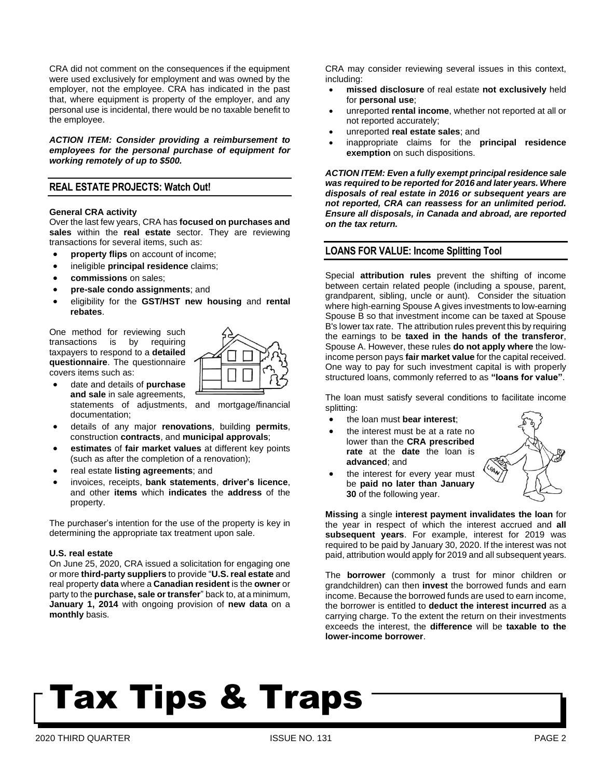CRA did not comment on the consequences if the equipment were used exclusively for employment and was owned by the employer, not the employee. CRA has indicated in the past that, where equipment is property of the employer, and any personal use is incidental, there would be no taxable benefit to the employee.

*ACTION ITEM: Consider providing a reimbursement to employees for the personal purchase of equipment for working remotely of up to \$500.*

### **REAL ESTATE PROJECTS: Watch Out!**

#### **General CRA activity**

Over the last few years, CRA has **focused on purchases and sales** within the **real estate** sector. They are reviewing transactions for several items, such as:

- **property flips** on account of income;
- ineligible **principal residence** claims;
- **commissions** on sales;
- **pre-sale condo assignments**; and
- eligibility for the **GST/HST new housing** and **rental rebates**.

One method for reviewing such transactions is by requiring taxpayers to respond to a **detailed questionnaire**. The questionnaire covers items such as:

• date and details of **purchase and sale** in sale agreements, documentation;



- statements of adjustments, and mortgage/financial
- details of any major **renovations**, building **permits**, construction **contracts**, and **municipal approvals**;
- **estimates** of **fair market values** at different key points (such as after the completion of a renovation);
- real estate **listing agreements**; and
- invoices, receipts, **bank statements**, **driver's licence**, and other **items** which **indicates** the **address** of the property.

The purchaser's intention for the use of the property is key in determining the appropriate tax treatment upon sale.

#### **U.S. real estate**

On June 25, 2020, CRA issued a solicitation for engaging one or more **third-party suppliers** to provide "**U.S. real estate** and real property **data** where a **Canadian resident** is the **owner** or party to the **purchase, sale or transfer**" back to, at a minimum, **January 1, 2014** with ongoing provision of **new data** on a **monthly** basis.

CRA may consider reviewing several issues in this context, including:

- **missed disclosure** of real estate **not exclusively** held for **personal use**;
- unreported **rental income**, whether not reported at all or not reported accurately;
- unreported **real estate sales**; and
- inappropriate claims for the **principal residence exemption** on such dispositions.

*ACTION ITEM: Even a fully exempt principalresidence sale was required to be reported for 2016 and later years. Where disposals of real estate in 2016 or subsequent years are not reported, CRA can reassess for an unlimited period. Ensure all disposals, in Canada and abroad, are reported on the tax return.*

#### **LOANS FOR VALUE: Income Splitting Tool**

Special **attribution rules** prevent the shifting of income between certain related people (including a spouse, parent, grandparent, sibling, uncle or aunt). Consider the situation where high-earning Spouse A gives investments to low-earning Spouse B so that investment income can be taxed at Spouse B's lower tax rate. The attribution rules prevent this by requiring the earnings to be **taxed in the hands of the transferor**, Spouse A. However, these rules **do not apply where** the lowincome person pays **fair market value** for the capital received. One way to pay for such investment capital is with properly structured loans, commonly referred to as **"loans for value"**.

The loan must satisfy several conditions to facilitate income splitting:

- the loan must **bear interest**;
- the interest must be at a rate no lower than the **CRA prescribed rate** at the **date** the loan is **advanced**; and



the interest for every year must be **paid no later than January 30** of the following year.

**Missing** a single **interest payment invalidates the loan** for the year in respect of which the interest accrued and **all subsequent years**. For example, interest for 2019 was required to be paid by January 30, 2020. If the interest was not paid, attribution would apply for 2019 and all subsequent years.

The **borrower** (commonly a trust for minor children or grandchildren) can then **invest** the borrowed funds and earn income. Because the borrowed funds are used to earn income, the borrower is entitled to **deduct the interest incurred** as a carrying charge. To the extent the return on their investments exceeds the interest, the **difference** will be **taxable to the lower-income borrower**.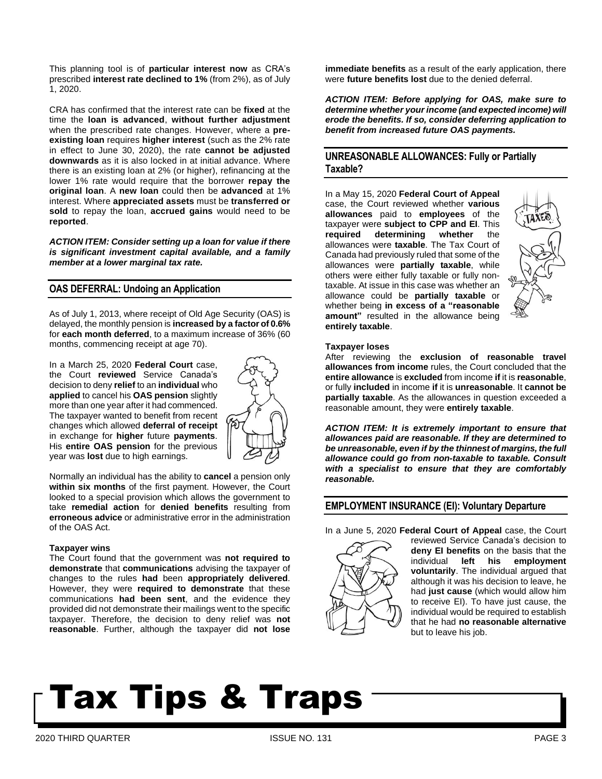This planning tool is of **particular interest now** as CRA's prescribed **interest rate declined to 1%** (from 2%), as of July 1, 2020.

CRA has confirmed that the interest rate can be **fixed** at the time the **loan is advanced**, **without further adjustment** when the prescribed rate changes. However, where a **preexisting loan** requires **higher interest** (such as the 2% rate in effect to June 30, 2020), the rate **cannot be adjusted downwards** as it is also locked in at initial advance. Where there is an existing loan at 2% (or higher), refinancing at the lower 1% rate would require that the borrower **repay the original loan**. A **new loan** could then be **advanced** at 1% interest. Where **appreciated assets** must be **transferred or sold** to repay the loan, **accrued gains** would need to be **reported**.

*ACTION ITEM: Consider setting up a loan for value if there is significant investment capital available, and a family member at a lower marginal tax rate.*

### **OAS DEFERRAL: Undoing an Application**

As of July 1, 2013, where receipt of Old Age Security (OAS) is delayed, the monthly pension is **increased by a factor of 0.6%** for **each month deferred**, to a maximum increase of 36% (60 months, commencing receipt at age 70).

In a March 25, 2020 **Federal Court** case, the Court **reviewed** Service Canada's decision to deny **relief** to an **individual** who **applied** to cancel his **OAS pension** slightly more than one year after it had commenced. The taxpayer wanted to benefit from recent changes which allowed **deferral of receipt** in exchange for **higher** future **payments**. His **entire OAS pension** for the previous year was **lost** due to high earnings.



Normally an individual has the ability to **cancel** a pension only **within six months** of the first payment. However, the Court looked to a special provision which allows the government to take **remedial action** for **denied benefits** resulting from **erroneous advice** or administrative error in the administration of the OAS Act.

#### **Taxpayer wins**

The Court found that the government was **not required to demonstrate** that **communications** advising the taxpayer of changes to the rules **had** been **appropriately delivered**. However, they were **required to demonstrate** that these communications **had been sent**, and the evidence they provided did not demonstrate their mailings went to the specific taxpayer. Therefore, the decision to deny relief was **not reasonable**. Further, although the taxpayer did **not lose**

**immediate benefits** as a result of the early application, there were **future benefits lost** due to the denied deferral.

*ACTION ITEM: Before applying for OAS, make sure to determine whether your income (and expected income) will erode the benefits. If so, consider deferring application to benefit from increased future OAS payments.*

### **UNREASONABLE ALLOWANCES: Fully or Partially Taxable?**

In a May 15, 2020 **Federal Court of Appeal** case, the Court reviewed whether **various allowances** paid to **employees** of the taxpayer were **subject to CPP and EI**. This **required determining whether** the allowances were **taxable**. The Tax Court of Canada had previously ruled that some of the allowances were **partially taxable**, while others were either fully taxable or fully nontaxable. At issue in this case was whether an allowance could be **partially taxable** or whether being **in excess of a "reasonable amount"** resulted in the allowance being **entirely taxable**.



#### **Taxpayer loses**

After reviewing the **exclusion of reasonable travel allowances from income** rules, the Court concluded that the **entire allowance** is **excluded** from income **if** it is **reasonable**, or fully **included** in income **if** it is **unreasonable**. It **cannot be partially taxable**. As the allowances in question exceeded a reasonable amount, they were **entirely taxable**.

*ACTION ITEM: It is extremely important to ensure that allowances paid are reasonable. If they are determined to be unreasonable, even if by the thinnest of margins, the full allowance could go from non-taxable to taxable. Consult with a specialist to ensure that they are comfortably reasonable.*

#### **EMPLOYMENT INSURANCE (EI): Voluntary Departure**

In a June 5, 2020 **Federal Court of Appeal** case, the Court



reviewed Service Canada's decision to **deny EI benefits** on the basis that the individual **left his employment voluntarily**. The individual argued that although it was his decision to leave, he had **just cause** (which would allow him to receive EI). To have just cause, the individual would be required to establish that he had **no reasonable alternative** but to leave his job.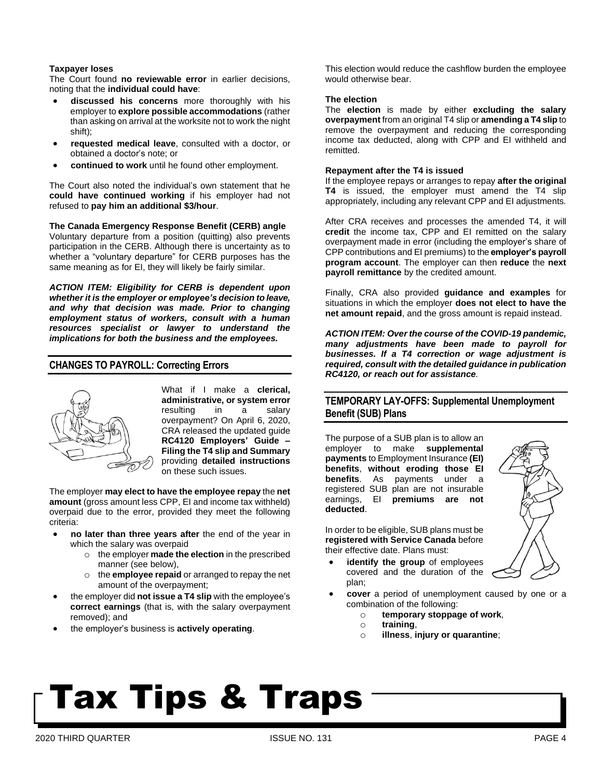#### **Taxpayer loses**

The Court found **no reviewable error** in earlier decisions, noting that the **individual could have**:

- **discussed his concerns** more thoroughly with his employer to **explore possible accommodations** (rather than asking on arrival at the worksite not to work the night shift);
- **requested medical leave**, consulted with a doctor, or obtained a doctor's note; or
- **continued to work** until he found other employment.

The Court also noted the individual's own statement that he **could have continued working** if his employer had not refused to **pay him an additional \$3/hour**.

#### **The Canada Emergency Response Benefit (CERB) angle**

Voluntary departure from a position (quitting) also prevents participation in the CERB. Although there is uncertainty as to whether a "voluntary departure" for CERB purposes has the same meaning as for EI, they will likely be fairly similar.

*ACTION ITEM: Eligibility for CERB is dependent upon whether it is the employer or employee's decision to leave, and why that decision was made. Prior to changing employment status of workers, consult with a human resources specialist or lawyer to understand the implications for both the business and the employees.*

### **CHANGES TO PAYROLL: Correcting Errors**



What if I make a **clerical, administrative, or system error** resulting in a salary overpayment? On April 6, 2020, CRA released the updated guide **RC4120 Employers' Guide – Filing the T4 slip and Summary** providing **detailed instructions** on these such issues.

The employer **may elect to have the employee repay** the **net amount** (gross amount less CPP, EI and income tax withheld) overpaid due to the error, provided they meet the following criteria:

- **no later than three years after** the end of the year in which the salary was overpaid
	- o the employer **made the election** in the prescribed manner (see below),
	- o the **employee repaid** or arranged to repay the net amount of the overpayment;
- the employer did **not issue a T4 slip** with the employee's **correct earnings** (that is, with the salary overpayment removed); and
- the employer's business is **actively operating**.

This election would reduce the cashflow burden the employee would otherwise bear.

#### **The election**

The **election** is made by either **excluding the salary overpayment** from an original T4 slip or **amending a T4 slip** to remove the overpayment and reducing the corresponding income tax deducted, along with CPP and EI withheld and remitted.

#### **Repayment after the T4 is issued**

If the employee repays or arranges to repay **after the original T4** is issued, the employer must amend the T4 slip appropriately, including any relevant CPP and EI adjustments.

After CRA receives and processes the amended T4, it will **credit** the income tax, CPP and EI remitted on the salary overpayment made in error (including the employer's share of CPP contributions and EI premiums) to the **employer's payroll program account**. The employer can then **reduce** the **next payroll remittance** by the credited amount.

Finally, CRA also provided **guidance and examples** for situations in which the employer **does not elect to have the net amount repaid**, and the gross amount is repaid instead.

*ACTION ITEM: Over the course of the COVID-19 pandemic, many adjustments have been made to payroll for businesses. If a T4 correction or wage adjustment is required, consult with the detailed guidance in publication RC4120, or reach out for assistance.*

### **TEMPORARY LAY-OFFS: Supplemental Unemployment Benefit (SUB) Plans**

The purpose of a SUB plan is to allow an employer to make **supplemental payments** to Employment Insurance **(EI) benefits**, **without eroding those EI benefits**. As payments under a registered SUB plan are not insurable earnings, EI **premiums are not deducted**.

In order to be eligible, SUB plans must be **registered with Service Canada** before their effective date. Plans must:



- **identify the group** of employees covered and the duration of the plan;
- **cover** a period of unemployment caused by one or a combination of the following:
	- o **temporary stoppage of work**,
	- o **training**,
	- o **illness**, **injury or quarantine**;